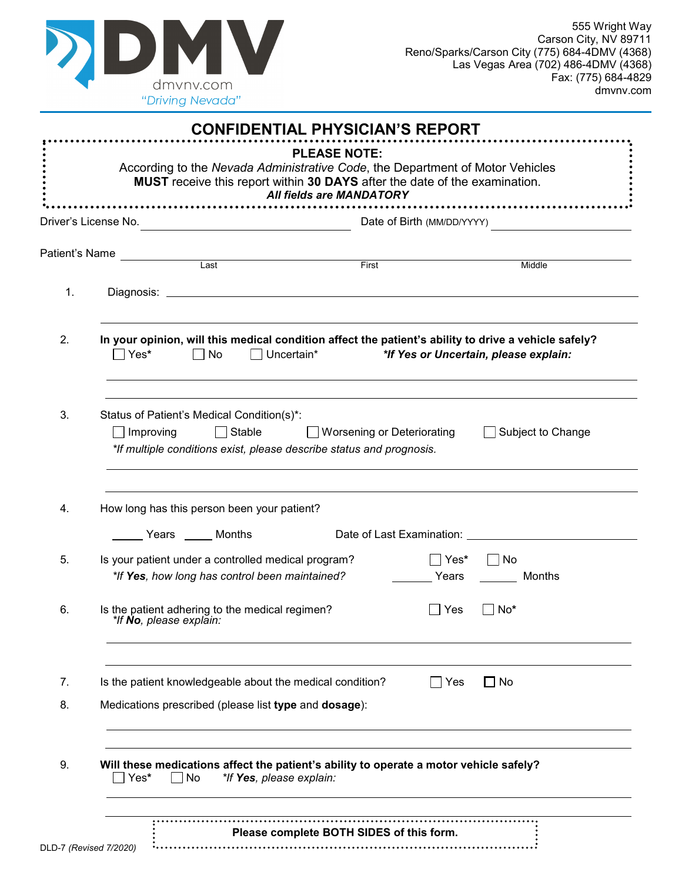

|    | According to the Nevada Administrative Code, the Department of Motor Vehicles<br>MUST receive this report within 30 DAYS after the date of the examination.                                        | <b>CONFIDENTIAL PHYSICIAN'S REPORT</b><br><b>PLEASE NOTE:</b><br>All fields are MANDATORY |            |                                       |  |
|----|----------------------------------------------------------------------------------------------------------------------------------------------------------------------------------------------------|-------------------------------------------------------------------------------------------|------------|---------------------------------------|--|
|    | <u> ---------------------------</u><br>Driver's License No.<br><u> 1980 - Johann Barbara, martxa eta politikar</u>                                                                                 |                                                                                           |            | Date of Birth (MM/DD/YYYY)            |  |
|    |                                                                                                                                                                                                    |                                                                                           |            |                                       |  |
|    |                                                                                                                                                                                                    |                                                                                           |            | Middle                                |  |
| 1. |                                                                                                                                                                                                    |                                                                                           |            |                                       |  |
| 2. | In your opinion, will this medical condition affect the patient's ability to drive a vehicle safely?<br>$\Box$ Yes*<br>$\Box$ No                                                                   | $\Box$ Uncertain*                                                                         |            | *If Yes or Uncertain, please explain: |  |
| 3. | Status of Patient's Medical Condition(s)*:<br>Stable Worsening or Deteriorating<br>□ Subject to Change<br>$\Box$ Improving<br>*If multiple conditions exist, please describe status and prognosis. |                                                                                           |            |                                       |  |
| 4. | How long has this person been your patient?<br>Years Months                                                                                                                                        |                                                                                           |            |                                       |  |
| 5. | Is your patient under a controlled medical program?<br>*If Yes, how long has control been maintained?                                                                                              |                                                                                           | ∣Yes*      | $\sqcap$ No<br>Years<br>Months        |  |
| 6. | Is the patient adhering to the medical regimen?<br>ur <b>no</b> , piease explain:                                                                                                                  |                                                                                           | Yes        | No*                                   |  |
| 7. | Is the patient knowledgeable about the medical condition?                                                                                                                                          |                                                                                           | $\Box$ Yes | $\Box$ No                             |  |
| 8. | Medications prescribed (please list type and dosage):                                                                                                                                              |                                                                                           |            |                                       |  |
| 9. | Will these medications affect the patient's ability to operate a motor vehicle safely?<br>$\Box$ No<br>Yes*                                                                                        | *If Yes, please explain:                                                                  |            |                                       |  |
|    |                                                                                                                                                                                                    |                                                                                           |            |                                       |  |